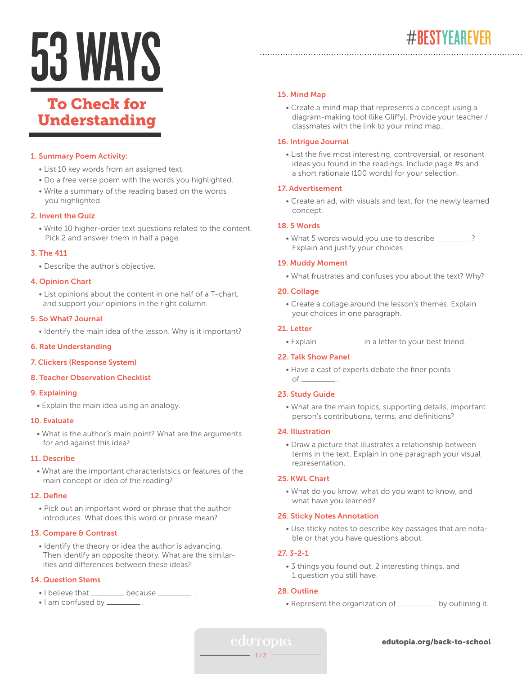# 53 WAYS

# To Check for Understanding

#### 1. Summary Poem Activity:

- List 10 key words from an assigned text.
- Do a free verse poem with the words you highlighted.
- Write a summary of the reading based on the words you highlighted.

#### 2. Invent the Quiz

 • Write 10 higher-order text questions related to the content. Pick 2 and answer them in half a page.

#### 3. The 411

• Describe the author's objective.

#### 4. Opinion Chart

 • List opinions about the content in one half of a T-chart, and support your opinions in the right column.

#### 5. So What? Journal

• Identify the main idea of the lesson. Why is it important?

#### 6. Rate Understanding

#### 7. Clickers (Response System)

#### 8. Teacher Observation Checklist

#### 9. Explaining

• Explain the main idea using an analogy.

#### 10. Evaluate

 • What is the author's main point? What are the arguments for and against this idea?

#### 11. Describe

 • What are the important characteristsics or features of the main concept or idea of the reading?

#### 12. Define

 • Pick out an important word or phrase that the author introduces. What does this word or phrase mean?

#### 13. Compare & Contrast

 • Identify the theory or idea the author is advancing. Then identify an opposite theory. What are the similar ities and differences between these ideas?

# 14. Question Stems

- I believe that \_\_\_\_\_\_\_\_\_\_ because \_\_\_\_\_
- I am confused by \_\_\_\_\_\_\_\_\_\_.

# 15. Mind Map

 • Create a mind map that represents a concept using a diagram-making tool (like Gliffy). Provide your teacher / classmates with the link to your mind map.

#### 16. Intrigue Journal

 • List the five most interesting, controversial, or resonant ideas you found in the readings. Include page #s and a short rationale (100 words) for your selection.

#### 17. Advertisement

 • Create an ad, with visuals and text, for the newly learned concept.

#### 18. 5 Words

• What 5 words would you use to describe \_\_\_\_\_\_\_\_? Explain and justify your choices.

#### 19. Muddy Moment

• What frustrates and confuses you about the text? Why?

#### 20. Collage

 • Create a collage around the lesson's themes. Explain your choices in one paragraph.

#### 21. Letter

• Explain  $\frac{1}{\sqrt{1-\frac{1}{\sqrt{1-\frac{1}{\sqrt{1-\frac{1}{\sqrt{1-\frac{1}{\sqrt{1-\frac{1}{\sqrt{1-\frac{1}{\sqrt{1-\frac{1}{\sqrt{1-\frac{1}{\sqrt{1-\frac{1}{\sqrt{1-\frac{1}{\sqrt{1-\frac{1}{\sqrt{1-\frac{1}{\sqrt{1-\frac{1}{\sqrt{1-\frac{1}{\sqrt{1-\frac{1}{\sqrt{1-\frac{1}{\sqrt{1-\frac{1}{\sqrt{1-\frac{1}{\sqrt{1-\frac{1}{\sqrt{1-\frac{1}{\sqrt{1-\frac{1}{\sqrt{1-\frac{1}{\sqrt{1-\frac{1$ 

#### 22. Talk Show Panel

 • Have a cast of experts debate the finer points  $of$   $\qquad$  .

#### 23. Study Guide

 • What are the main topics, supporting details, important person's contributions, terms, and definitions?

#### 24. Illustration

 • Draw a picture that illustrates a relationship between terms in the text. Explain in one paragraph your visual representation.

#### 25. KWL Chart

 • What do you know, what do you want to know, and what have you learned?

#### 26. Sticky Notes Annotation

 • Use sticky notes to describe key passages that are nota ble or that you have questions about.

#### 27. 3-2-1

 • 3 things you found out, 2 interesting things, and 1 question you still have.

# 28. Outline

• Represent the organization of \_\_\_\_\_\_\_\_\_ by outlining it.

#### edutopia.org/back-to-school